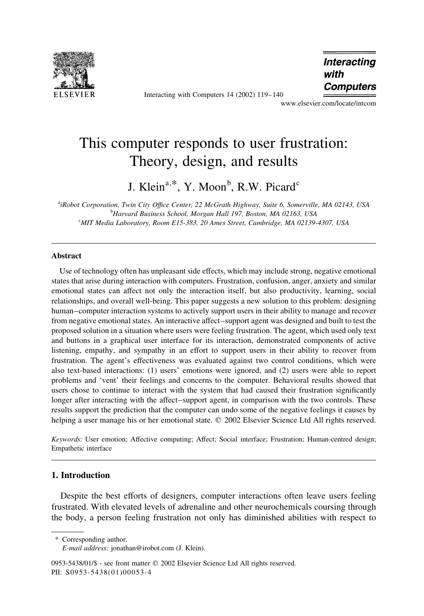

Interacting with Computers 14 (2002) 119-140

Interacting with **Computers** 

www.elsevier.com/locate/intcom

# This computer responds to user frustration: Theory, design, and results

J. Klein<sup>a,\*</sup>, Y. Moon<sup>b</sup>, R.W. Picard<sup>c</sup>

<sup>a</sup>iRobot Corporation, Twin City Office Center, 22 McGrath Highway, Suite 6, Somerville, MA 02143, USA <sup>b</sup>Harvard Business School, Morgan Hall 197, Boston, MA 02163, USA <sup>c</sup>MIT Media Laboratory, Room E15-383, 20 Ames Street, Cambridge, MA 02139-4307, USA

#### **Abstract**

Use of technology often has unpleasant side effects, which may include strong, negative emotional states that arise during interaction with computers. Frustration, confusion, anger, anxiety and similar emotional states can affect not only the interaction itself, but also productivity, learning, social relationships, and overall well-being. This paper suggests a new solution to this problem: designing human-computer interaction systems to actively support users in their ability to manage and recover from negative emotional states. An interactive affect-support agent was designed and built to test the proposed solution in a situation where users were feeling frustration. The agent, which used only text and buttons in a graphical user interface for its interaction, demonstrated components of active listening, empathy, and sympathy in an effort to support users in their ability to recover from frustration. The agent's effectiveness was evaluated against two control conditions, which were also text-based interactions: (1) users' emotions were ignored, and (2) users were able to report problems and 'vent' their feelings and concerns to the computer. Behavioral results showed that users chose to continue to interact with the system that had caused their frustration significantly longer after interacting with the affect-support agent, in comparison with the two controls. These results support the prediction that the computer can undo some of the negative feelings it causes by helping a user manage his or her emotional state. © 2002 Elsevier Science Ltd All rights reserved.

Keywords: User emotion; Affective computing; Affect; Social interface; Frustration; Human-centred design; Empathetic interface

## 1. Introduction

Despite the best efforts of designers, computer interactions often leave users feeling frustrated. With elevated levels of adrenaline and other neurochemicals coursing through the body, a person feeling frustration not only has diminished abilities with respect to

<sup>\*</sup> Corresponding author.

E-mail address: jonathan@irobot.com (J. Klein).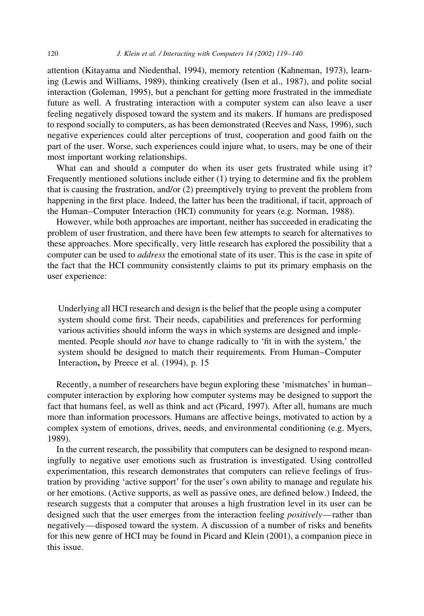attention (Kitayama and Niedenthal, 1994), memory retention (Kahneman, 1973), learning (Lewis and Williams, 1989), thinking creatively (Isen et al., 1987), and polite social interaction (Goleman, 1995), but a penchant for getting more frustrated in the immediate future as well. A frustrating interaction with a computer system can also leave a user feeling negatively disposed toward the system and its makers. If humans are predisposed to respond socially to computers, as has been demonstrated (Reeves and Nass, 1996), such negative experiences could alter perceptions of trust, cooperation and good faith on the part of the user. Worse, such experiences could injure what, to users, may be one of their most important working relationships.

What can and should a computer do when its user gets frustrated while using it? Frequently mentioned solutions include either (1) trying to determine and fix the problem that is causing the frustration, and/or (2) preemptively trying to prevent the problem from happening in the first place. Indeed, the latter has been the traditional, if tacit, approach of the Human–Computer Interaction (HCI) community for years (e.g. Norman, 1988).

However, while both approaches are important, neither has succeeded in eradicating the problem of user frustration, and there have been few attempts to search for alternatives to these approaches. More specifically, very little research has explored the possibility that a computer can be used to *address* the emotional state of its user. This is the case in spite of the fact that the HCI community consistently claims to put its primary emphasis on the user experience:

Underlying all HCI research and design is the belief that the people using a computer system should come first. Their needs, capabilities and preferences for performing various activities should inform the ways in which systems are designed and implemented. People should *not* have to change radically to 'fit in with the system,' the system should be designed to match their requirements. From Human–Computer Interaction, by Preece et al. (1994), p. 15

Recently, a number of researchers have begun exploring these 'mismatches' in humancomputer interaction by exploring how computer systems may be designed to support the fact that humans feel, as well as think and act (Picard, 1997). After all, humans are much more than information processors. Humans are affective beings, motivated to action by a complex system of emotions, drives, needs, and environmental conditioning (e.g. Myers, 1989).

In the current research, the possibility that computers can be designed to respond meaningfully to negative user emotions such as frustration is investigated. Using controlled experimentation, this research demonstrates that computers can relieve feelings of frustration by providing 'active support' for the user's own ability to manage and regulate his or her emotions. (Active supports, as well as passive ones, are defined below.) Indeed, the research suggests that a computer that arouses a high frustration level in its user can be designed such that the user emerges from the interaction feeling *positively*—rather than negatively—disposed toward the system. A discussion of a number of risks and benefits for this new genre of HCI may be found in Picard and Klein (2001), a companion piece in this issue.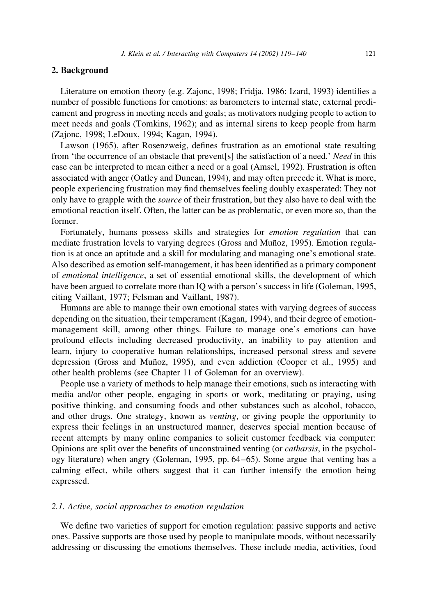## 2. Background

Literature on emotion theory (e.g. Zajonc, 1998; Fridja, 1986; Izard, 1993) identifies a number of possible functions for emotions: as barometers to internal state, external predicament and progress in meeting needs and goals; as motivators nudging people to action to meet needs and goals (Tomkins, 1962); and as internal sirens to keep people from harm (Zajonc, 1998; LeDoux, 1994; Kagan, 1994).

Lawson (1965), after Rosenzweig, defines frustration as an emotional state resulting from 'the occurrence of an obstacle that prevent [s] the satisfaction of a need.' *Need* in this case can be interpreted to mean either a need or a goal (Amsel, 1992). Frustration is often associated with anger (Oatley and Duncan, 1994), and may often precede it. What is more, people experiencing frustration may find themselves feeling doubly exasperated: They not only have to grapple with the *source* of their frustration, but they also have to deal with the emotional reaction itself. Often, the latter can be as problematic, or even more so, than the former.

Fortunately, humans possess skills and strategies for *emotion regulation* that can mediate frustration levels to varying degrees (Gross and Muñoz, 1995). Emotion regulation is at once an aptitude and a skill for modulating and managing one's emotional state. Also described as emotion self-management, it has been identified as a primary component of emotional intelligence, a set of essential emotional skills, the development of which have been argued to correlate more than IQ with a person's success in life (Goleman, 1995, citing Vaillant, 1977; Felsman and Vaillant, 1987).

Humans are able to manage their own emotional states with varying degrees of success depending on the situation, their temperament (Kagan, 1994), and their degree of emotionmanagement skill, among other things. Failure to manage one's emotions can have profound effects including decreased productivity, an inability to pay attention and learn, injury to cooperative human relationships, increased personal stress and severe depression (Gross and Muñoz, 1995), and even addiction (Cooper et al., 1995) and other health problems (see Chapter 11 of Goleman for an overview).

People use a variety of methods to help manage their emotions, such as interacting with media and/or other people, engaging in sports or work, meditating or praying, using positive thinking, and consuming foods and other substances such as alcohol, tobacco, and other drugs. One strategy, known as *venting*, or giving people the opportunity to express their feelings in an unstructured manner, deserves special mention because of recent attempts by many online companies to solicit customer feedback via computer: Opinions are split over the benefits of unconstrained venting (or *catharsis*, in the psychology literature) when angry (Goleman, 1995, pp. 64–65). Some argue that venting has a calming effect, while others suggest that it can further intensify the emotion being expressed.

#### 2.1. Active, social approaches to emotion regulation

We define two varieties of support for emotion regulation: passive supports and active ones. Passive supports are those used by people to manipulate moods, without necessarily addressing or discussing the emotions themselves. These include media, activities, food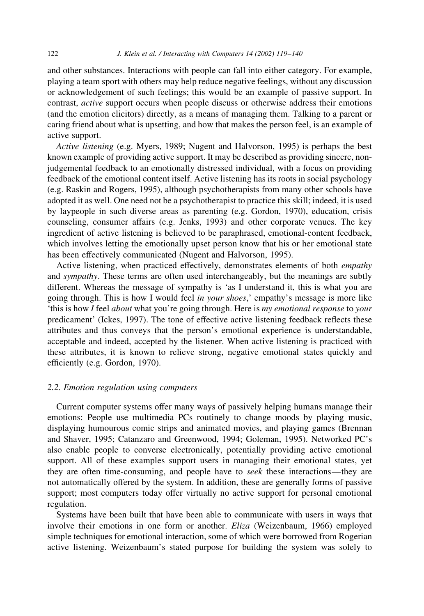and other substances. Interactions with people can fall into either category. For example, playing a team sport with others may help reduce negative feelings, without any discussion or acknowledgement of such feelings; this would be an example of passive support. In contrast, *active* support occurs when people discuss or otherwise address their emotions (and the emotion elicitors) directly, as a means of managing them. Talking to a parent or caring friend about what is upsetting, and how that makes the person feel, is an example of active support.

Active listening (e.g. Myers, 1989; Nugent and Halvorson, 1995) is perhaps the best known example of providing active support. It may be described as providing sincere, nonjudgemental feedback to an emotionally distressed individual, with a focus on providing feedback of the emotional content itself. Active listening has its roots in social psychology (e.g. Raskin and Rogers, 1995), although psychotherapists from many other schools have adopted it as well. One need not be a psychotherapist to practice this skill; indeed, it is used by laypeople in such diverse areas as parenting (e.g. Gordon, 1970), education, crisis counseling, consumer affairs (e.g. Jenks, 1993) and other corporate venues. The key ingredient of active listening is believed to be paraphrased, emotional-content feedback, which involves letting the emotionally upset person know that his or her emotional state has been effectively communicated (Nugent and Halvorson, 1995).

Active listening, when practiced effectively, demonstrates elements of both *empathy* and *sympathy*. These terms are often used interchangeably, but the meanings are subtly different. Whereas the message of sympathy is 'as I understand it, this is what you are going through. This is how I would feel in your shoes,' empathy's message is more like 'this is how I feel about what you're going through. Here is my emotional response to your predicament' (Ickes, 1997). The tone of effective active listening feedback reflects these attributes and thus conveys that the person's emotional experience is understandable, acceptable and indeed, accepted by the listener. When active listening is practiced with these attributes, it is known to relieve strong, negative emotional states quickly and efficiently (e.g. Gordon, 1970).

#### 2.2. Emotion regulation using computers

Current computer systems offer many ways of passively helping humans manage their emotions: People use multimedia PCs routinely to change moods by playing music, displaying humourous comic strips and animated movies, and playing games (Brennan and Shaver, 1995; Catanzaro and Greenwood, 1994; Goleman, 1995). Networked PC's also enable people to converse electronically, potentially providing active emotional support. All of these examples support users in managing their emotional states, yet they are often time-consuming, and people have to *seek* these interactions—they are not automatically offered by the system. In addition, these are generally forms of passive support; most computers today offer virtually no active support for personal emotional regulation.

Systems have been built that have been able to communicate with users in ways that involve their emotions in one form or another. Eliza (Weizenbaum, 1966) employed simple techniques for emotional interaction, some of which were borrowed from Rogerian active listening. Weizenbaum's stated purpose for building the system was solely to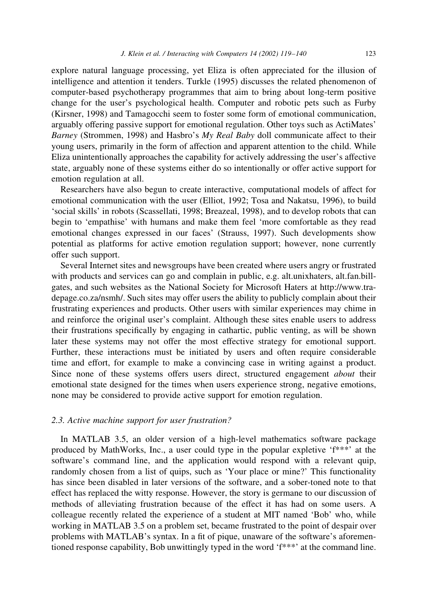explore natural language processing, yet Eliza is often appreciated for the illusion of intelligence and attention it tenders. Turkle (1995) discusses the related phenomenon of computer-based psychotherapy programmes that aim to bring about long-term positive change for the user's psychological health. Computer and robotic pets such as Furby (Kirsner, 1998) and Tamagocchi seem to foster some form of emotional communication, arguably offering passive support for emotional regulation. Other toys such as ActiMates' *Barney* (Strommen, 1998) and Hasbro's *My Real Baby* doll communicate affect to their young users, primarily in the form of affection and apparent attention to the child. While Eliza unintentionally approaches the capability for actively addressing the user's affective state, arguably none of these systems either do so intentionally or offer active support for emotion regulation at all.

Researchers have also begun to create interactive, computational models of affect for emotional communication with the user (Elliot, 1992; Tosa and Nakatsu, 1996), to build 'social skills' in robots (Scassellati, 1998; Breazeal, 1998), and to develop robots that can begin to 'empathise' with humans and make them feel 'more comfortable as they read emotional changes expressed in our faces' (Strauss, 1997). Such developments show potential as platforms for active emotion regulation support; however, none currently offer such support.

Several Internet sites and newsgroups have been created where users angry or frustrated with products and services can go and complain in public, e.g. alt.unixhaters, alt.fan.billgates, and such websites as the National Society for Microsoft Haters at http://www.tradepage.co.za/nsmh/. Such sites may offer users the ability to publicly complain about their frustrating experiences and products. Other users with similar experiences may chime in and reinforce the original user's complaint. Although these sites enable users to address their frustrations specifically by engaging in cathartic, public venting, as will be shown later these systems may not offer the most effective strategy for emotional support. Further, these interactions must be initiated by users and often require considerable time and effort, for example to make a convincing case in writing against a product. Since none of these systems offers users direct, structured engagement *about* their emotional state designed for the times when users experience strong, negative emotions, none may be considered to provide active support for emotion regulation.

#### 2.3. Active machine support for user frustration?

In MATLAB 3.5, an older version of a high-level mathematics software package produced by MathWorks, Inc., a user could type in the popular expletive 'f\*\*\*' at the software's command line, and the application would respond with a relevant quip, randomly chosen from a list of quips, such as 'Your place or mine?' This functionality has since been disabled in later versions of the software, and a sober-toned note to that effect has replaced the witty response. However, the story is germane to our discussion of methods of alleviating frustration because of the effect it has had on some users. A colleague recently related the experience of a student at MIT named 'Bob' who, while working in MATLAB 3.5 on a problem set, became frustrated to the point of despair over problems with MATLAB's syntax. In a fit of pique, unaware of the software's aforementioned response capability, Bob unwittingly typed in the word 'f\*\*\*' at the command line.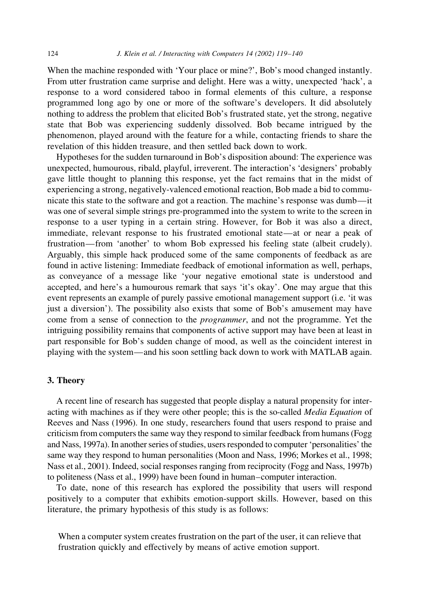When the machine responded with 'Your place or mine?', Bob's mood changed instantly. From utter frustration came surprise and delight. Here was a witty, unexpected 'hack', a response to a word considered taboo in formal elements of this culture, a response programmed long ago by one or more of the software's developers. It did absolutely nothing to address the problem that elicited Bob's frustrated state, yet the strong, negative state that Bob was experiencing suddenly dissolved. Bob became intrigued by the phenomenon, played around with the feature for a while, contacting friends to share the revelation of this hidden treasure, and then settled back down to work.

Hypotheses for the sudden turnaround in Bob's disposition abound: The experience was unexpected, humourous, ribald, playful, irreverent. The interaction's 'designers' probably gave little thought to planning this response, yet the fact remains that in the midst of experiencing a strong, negatively-valenced emotional reaction, Bob made a bid to communicate this state to the software and got a reaction. The machine's response was dumb—it was one of several simple strings pre-programmed into the system to write to the screen in response to a user typing in a certain string. However, for Bob it was also a direct, immediate, relevant response to his frustrated emotional state—at or near a peak of frustration—from 'another' to whom Bob expressed his feeling state (albeit crudely). Arguably, this simple hack produced some of the same components of feedback as are found in active listening: Immediate feedback of emotional information as well, perhaps, as conveyance of a message like 'your negative emotional state is understood and accepted, and here's a humourous remark that says 'it's okay'. One may argue that this event represents an example of purely passive emotional management support (i.e. 'it was just a diversion'). The possibility also exists that some of Bob's amusement may have come from a sense of connection to the *programmer*, and not the programme. Yet the intriguing possibility remains that components of active support may have been at least in part responsible for Bob's sudden change of mood, as well as the coincident interest in playing with the system—and his soon settling back down to work with MATLAB again.

## 3. Theory

A recent line of research has suggested that people display a natural propensity for interacting with machines as if they were other people; this is the so-called *Media Equation* of Reeves and Nass (1996). In one study, researchers found that users respond to praise and criticism from computers the same way they respond to similar feedback from humans (Fogg and Nass, 1997a). In another series of studies, users responded to computer 'personalities' the same way they respond to human personalities (Moon and Nass, 1996; Morkes et al., 1998; Nass et al., 2001). Indeed, social responses ranging from reciprocity (Fogg and Nass, 1997b) to politeness (Nass et al., 1999) have been found in human–computer interaction.

To date, none of this research has explored the possibility that users will respond positively to a computer that exhibits emotion-support skills. However, based on this literature, the primary hypothesis of this study is as follows:

When a computer system creates frustration on the part of the user, it can relieve that frustration quickly and effectively by means of active emotion support.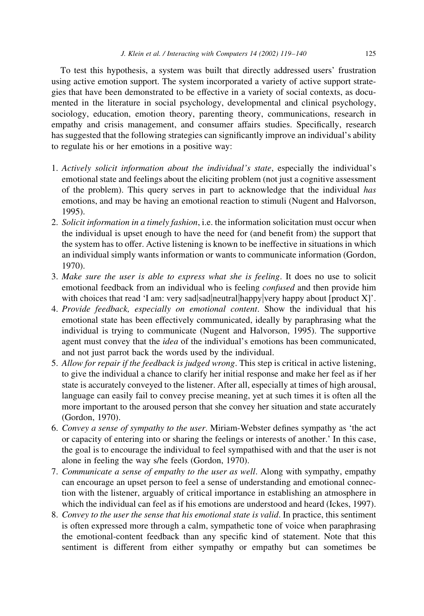To test this hypothesis, a system was built that directly addressed users' frustration using active emotion support. The system incorporated a variety of active support strategies that have been demonstrated to be effective in a variety of social contexts, as documented in the literature in social psychology, developmental and clinical psychology, sociology, education, emotion theory, parenting theory, communications, research in empathy and crisis management, and consumer affairs studies. Specifically, research has suggested that the following strategies can significantly improve an individual's ability to regulate his or her emotions in a positive way:

- 1. Actively solicit information about the individual's state, especially the individual's emotional state and feelings about the eliciting problem (not just a cognitive assessment of the problem). This query serves in part to acknowledge that the individual has emotions, and may be having an emotional reaction to stimuli (Nugent and Halvorson, 1995).
- 2. Solicit information in a timely fashion, i.e. the information solicitation must occur when the individual is upset enough to have the need for (and benefit from) the support that the system has to offer. Active listening is known to be ineffective in situations in which an individual simply wants information or wants to communicate information (Gordon, 1970).
- 3. Make sure the user is able to express what she is feeling. It does no use to solicit emotional feedback from an individual who is feeling *confused* and then provide him with choices that read 'I am: very sad | sad| neutral | happy|very happy about [product X]'.
- 4. Provide feedback, especially on emotional content. Show the individual that his emotional state has been effectively communicated, ideally by paraphrasing what the individual is trying to communicate (Nugent and Halvorson, 1995). The supportive agent must convey that the *idea* of the individual's emotions has been communicated, and not just parrot back the words used by the individual.
- 5. Allow for repair if the feedback is judged wrong. This step is critical in active listening, to give the individual a chance to clarify her initial response and make her feel as if her state is accurately conveyed to the listener. After all, especially at times of high arousal, language can easily fail to convey precise meaning, yet at such times it is often all the more important to the aroused person that she convey her situation and state accurately (Gordon, 1970).
- 6. Convey a sense of sympathy to the user. Miriam-Webster defines sympathy as 'the act or capacity of entering into or sharing the feelings or interests of another.' In this case, the goal is to encourage the individual to feel sympathised with and that the user is not alone in feeling the way s/he feels (Gordon, 1970).
- 7. Communicate a sense of empathy to the user as well. Along with sympathy, empathy can encourage an upset person to feel a sense of understanding and emotional connection with the listener, arguably of critical importance in establishing an atmosphere in which the individual can feel as if his emotions are understood and heard (Ickes, 1997).
- 8. Convey to the user the sense that his emotional state is valid. In practice, this sentiment is often expressed more through a calm, sympathetic tone of voice when paraphrasing the emotional-content feedback than any specific kind of statement. Note that this sentiment is different from either sympathy or empathy but can sometimes be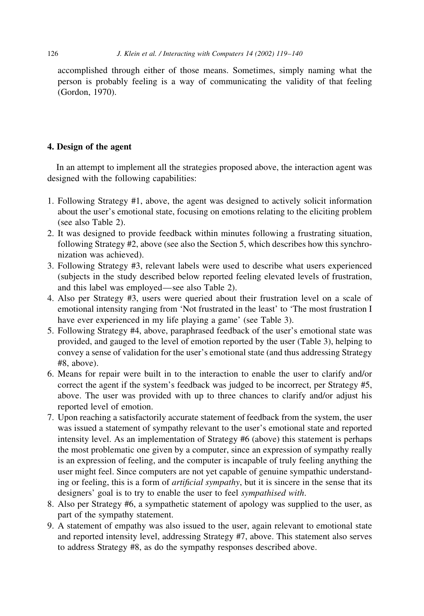accomplished through either of those means. Sometimes, simply naming what the person is probably feeling is a way of communicating the validity of that feeling (Gordon, 1970).

# 4. Design of the agent

In an attempt to implement all the strategies proposed above, the interaction agent was designed with the following capabilities:

- 1. Following Strategy #1, above, the agent was designed to actively solicit information about the user's emotional state, focusing on emotions relating to the eliciting problem (see also Table 2).
- 2. It was designed to provide feedback within minutes following a frustrating situation, following Strategy #2, above (see also the Section 5, which describes how this synchronization was achieved).
- 3. Following Strategy #3, relevant labels were used to describe what users experienced (subjects in the study described below reported feeling elevated levels of frustration, and this label was employed—see also Table 2).
- 4. Also per Strategy #3, users were queried about their frustration level on a scale of emotional intensity ranging from 'Not frustrated in the least' to 'The most frustration I have ever experienced in my life playing a game' (see Table 3).
- 5. Following Strategy #4, above, paraphrased feedback of the user's emotional state was provided, and gauged to the level of emotion reported by the user (Table 3), helping to convey a sense of validation for the user's emotional state (and thus addressing Strategy #8. above).
- 6. Means for repair were built in to the interaction to enable the user to clarify and/or correct the agent if the system's feedback was judged to be incorrect, per Strategy #5, above. The user was provided with up to three chances to clarify and/or adjust his reported level of emotion.
- 7. Upon reaching a satisfactorily accurate statement of feedback from the system, the user was issued a statement of sympathy relevant to the user's emotional state and reported intensity level. As an implementation of Strategy #6 (above) this statement is perhaps the most problematic one given by a computer, since an expression of sympathy really is an expression of feeling, and the computer is incapable of truly feeling anything the user might feel. Since computers are not yet capable of genuine sympathic understanding or feeling, this is a form of *artificial sympathy*, but it is sincere in the sense that its designers' goal is to try to enable the user to feel sympathised with.
- 8. Also per Strategy #6, a sympathetic statement of apology was supplied to the user, as part of the sympathy statement.
- 9. A statement of empathy was also issued to the user, again relevant to emotional state and reported intensity level, addressing Strategy #7, above. This statement also serves to address Strategy #8, as do the sympathy responses described above.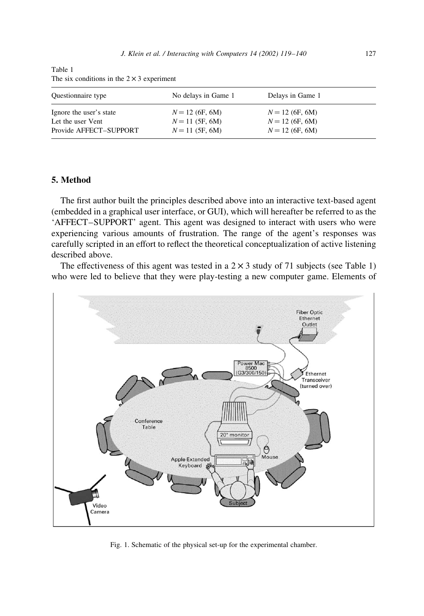| Questionnaire type      | No delays in Game 1 | Delays in Game 1  |
|-------------------------|---------------------|-------------------|
| Ignore the user's state | $N = 12$ (6F, 6M)   | $N = 12$ (6F, 6M) |
| Let the user Vent       | $N = 11$ (5F, 6M)   | $N = 12$ (6F, 6M) |
| Provide AFFECT-SUPPORT  | $N = 11$ (5F, 6M)   | $N = 12$ (6F, 6M) |

Table 1 The six conditions in the  $2 \times 3$  experiment

# 5. Method

The first author built the principles described above into an interactive text-based agent (embedded in a graphical user interface, or GUI), which will hereafter be referred to as the 'AFFECT-SUPPORT' agent. This agent was designed to interact with users who were experiencing various amounts of frustration. The range of the agent's responses was carefully scripted in an effort to reflect the theoretical conceptualization of active listening described above.

The effectiveness of this agent was tested in a  $2 \times 3$  study of 71 subjects (see Table 1) who were led to believe that they were play-testing a new computer game. Elements of



Fig. 1. Schematic of the physical set-up for the experimental chamber.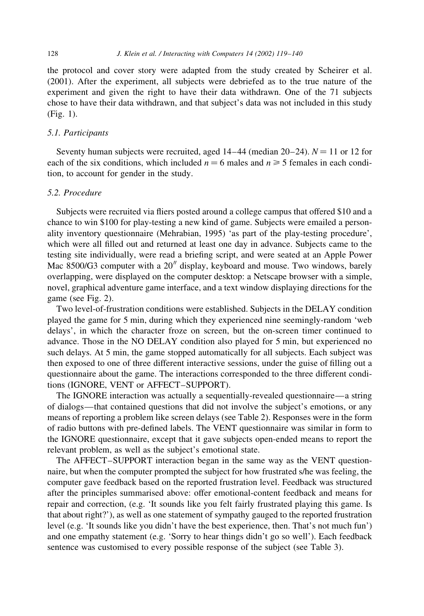the protocol and cover story were adapted from the study created by Scheirer et al. (2001). After the experiment, all subjects were debriefed as to the true nature of the experiment and given the right to have their data withdrawn. One of the 71 subjects chose to have their data withdrawn, and that subject's data was not included in this study  $(Fig. 1)$ .

#### 5.1. Participants

Seventy human subjects were recruited, aged 14–44 (median  $20-24$ ).  $N = 11$  or 12 for each of the six conditions, which included  $n = 6$  males and  $n \ge 5$  females in each condition, to account for gender in the study.

## 5.2. Procedure

Subjects were recruited via fliers posted around a college campus that offered \$10 and a chance to win \$100 for play-testing a new kind of game. Subjects were emailed a personality inventory questionnaire (Mehrabian, 1995) 'as part of the play-testing procedure', which were all filled out and returned at least one day in advance. Subjects came to the testing site individually, were read a briefing script, and were seated at an Apple Power Mac 8500/G3 computer with a  $20''$  display, keyboard and mouse. Two windows, barely overlapping, were displayed on the computer desktop: a Netscape browser with a simple, novel, graphical adventure game interface, and a text window displaying directions for the game (see Fig. 2).

Two level-of-frustration conditions were established. Subjects in the DELAY condition played the game for 5 min, during which they experienced nine seemingly-random 'web delays', in which the character froze on screen, but the on-screen timer continued to advance. Those in the NO DELAY condition also played for 5 min, but experienced no such delays. At 5 min, the game stopped automatically for all subjects. Each subject was then exposed to one of three different interactive sessions, under the guise of filling out a questionnaire about the game. The interactions corresponded to the three different conditions (IGNORE, VENT or AFFECT-SUPPORT).

The IGNORE interaction was actually a sequentially-revealed questionnaire—a string of dialogs-that contained questions that did not involve the subject's emotions, or any means of reporting a problem like screen delays (see Table 2). Responses were in the form of radio buttons with pre-defined labels. The VENT questionnaire was similar in form to the IGNORE questionnaire, except that it gave subjects open-ended means to report the relevant problem, as well as the subject's emotional state.

The AFFECT-SUPPORT interaction began in the same way as the VENT questionnaire, but when the computer prompted the subject for how frustrated s/he was feeling, the computer gave feedback based on the reported frustration level. Feedback was structured after the principles summarised above: offer emotional-content feedback and means for repair and correction, (e.g. 'It sounds like you felt fairly frustrated playing this game. Is that about right?'), as well as one statement of sympathy gauged to the reported frustration level (e.g. 'It sounds like you didn't have the best experience, then. That's not much fun') and one empathy statement (e.g. 'Sorry to hear things didn't go so well'). Each feedback sentence was customised to every possible response of the subject (see Table 3).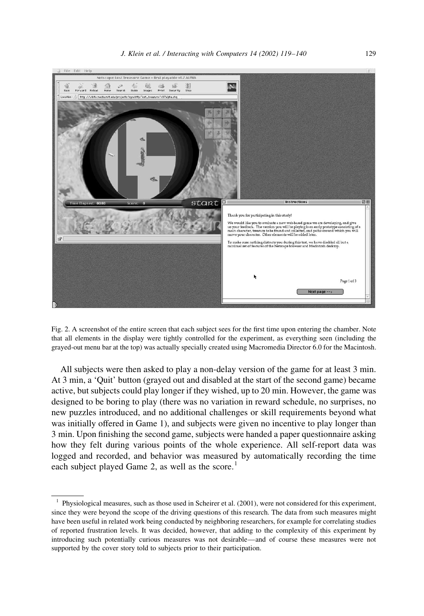

Fig. 2. A screenshot of the entire screen that each subject sees for the first time upon entering the chamber. Note that all elements in the display were tightly controlled for the experiment, as everything seen (including the grayed-out menu bar at the top) was actually specially created using Macromedia Director 6.0 for the Macintosh.

All subjects were then asked to play a non-delay version of the game for at least 3 min. At 3 min, a 'Quit' button (grayed out and disabled at the start of the second game) became active, but subjects could play longer if they wished, up to 20 min. However, the game was designed to be boring to play (there was no variation in reward schedule, no surprises, no new puzzles introduced, and no additional challenges or skill requirements beyond what was initially offered in Game 1), and subjects were given no incentive to play longer than 3 min. Upon finishing the second game, subjects were handed a paper questionnaire asking how they felt during various points of the whole experience. All self-report data was logged and recorded, and behavior was measured by automatically recording the time each subject played Game 2, as well as the score.<sup>1</sup>

<sup>&</sup>lt;sup>1</sup> Physiological measures, such as those used in Scheirer et al.  $(2001)$ , were not considered for this experiment, since they were beyond the scope of the driving questions of this research. The data from such measures might have been useful in related work being conducted by neighboring researchers, for example for correlating studies of reported frustration levels. It was decided, however, that adding to the complexity of this experiment by introducing such potentially curious measures was not desirable—and of course these measures were not supported by the cover story told to subjects prior to their participation.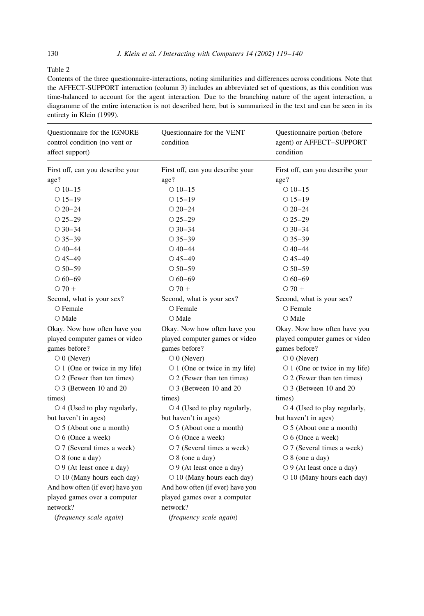Table 2

Contents of the three questionnaire-interactions, noting similarities and differences across conditions. Note that the AFFECT-SUPPORT interaction (column 3) includes an abbreviated set of questions, as this condition was time-balanced to account for the agent interaction. Due to the branching nature of the agent interaction, a diagramme of the entire interaction is not described here, but is summarized in the text and can be seen in its entirety in Klein (1999).

| Questionnaire for the IGNORE<br>control condition (no vent or<br>affect support) | Questionnaire for the VENT<br>condition | Questionnaire portion (before<br>agent) or AFFECT-SUPPORT<br>condition |
|----------------------------------------------------------------------------------|-----------------------------------------|------------------------------------------------------------------------|
| First off, can you describe your                                                 | First off, can you describe your        | First off, can you describe your                                       |
| age?                                                                             | age?                                    | age?                                                                   |
| $\circ$ 10-15                                                                    | $\circ$ 10-15                           | $\circ$ 10-15                                                          |
| $O$ 15-19                                                                        | $O$ 15-19                               | $O$ 15-19                                                              |
| $\circ$ 20–24                                                                    | $\circ$ 20–24                           | $\circ$ 20–24                                                          |
| $O$ 25-29                                                                        | $O$ 25-29                               | $O$ 25-29                                                              |
| $\bigcirc$ 30-34                                                                 | $\circ$ 30-34                           | $\bigcirc$ 30-34                                                       |
| $O$ 35-39                                                                        | $\bigcirc$ 35-39                        | $\bigcirc$ 35-39                                                       |
| $\bigcirc$ 40-44                                                                 | $\bigcirc$ 40-44                        | $\bigcirc$ 40-44                                                       |
| $O$ 45-49                                                                        | $O$ 45-49                               | $O$ 45-49                                                              |
| $\circ$ 50-59                                                                    | $\circ$ 50-59                           | $\circ$ 50-59                                                          |
| $\circ$ 60-69                                                                    | $\circ$ 60-69                           | $\circ$ 60-69                                                          |
| $\bigcirc$ 70 +                                                                  | $\bigcirc$ 70 +                         | $\bigcirc$ 70 +                                                        |
| Second, what is your sex?                                                        | Second, what is your sex?               | Second, what is your sex?                                              |
| O Female                                                                         | O Female                                | O Female                                                               |
| $\circ$ Male                                                                     | ○ Male                                  | $\circ$ Male                                                           |
| Okay. Now how often have you                                                     | Okay. Now how often have you            | Okay. Now how often have you                                           |
| played computer games or video                                                   | played computer games or video          | played computer games or video                                         |
| games before?                                                                    | games before?                           | games before?                                                          |
| $\circ$ 0 (Never)                                                                | $\circ$ 0 (Never)                       | $\circ$ 0 (Never)                                                      |
| $\circ$ 1 (One or twice in my life)                                              | $\circ$ 1 (One or twice in my life)     | $\circ$ 1 (One or twice in my life)                                    |
| $\circ$ 2 (Fewer than ten times)                                                 | $\circ$ 2 (Fewer than ten times)        | $\circ$ 2 (Fewer than ten times)                                       |
| $\circ$ 3 (Between 10 and 20                                                     | $\circ$ 3 (Between 10 and 20            | $\circ$ 3 (Between 10 and 20                                           |
| times)                                                                           | times)                                  | times)                                                                 |
| $\circ$ 4 (Used to play regularly,                                               | $\circ$ 4 (Used to play regularly,      | $\circ$ 4 (Used to play regularly,                                     |
| but haven't in ages)                                                             | but haven't in ages)                    | but haven't in ages)                                                   |
| $\circ$ 5 (About one a month)                                                    | $\circ$ 5 (About one a month)           | $\circ$ 5 (About one a month)                                          |
| $\circ$ 6 (Once a week)                                                          | $\circ$ 6 (Once a week)                 | $\circ$ 6 (Once a week)                                                |
| $\circ$ 7 (Several times a week)                                                 | $\circ$ 7 (Several times a week)        | O 7 (Several times a week)                                             |
| $\circ$ 8 (one a day)                                                            | $\circ$ 8 (one a day)                   | $\circ$ 8 (one a day)                                                  |
| $\bigcirc$ 9 (At least once a day)                                               | $\bigcirc$ 9 (At least once a day)      | $\bigcirc$ 9 (At least once a day)                                     |
| $\circ$ 10 (Many hours each day)                                                 | ○ 10 (Many hours each day)              | $\circ$ 10 (Many hours each day)                                       |
| And how often (if ever) have you                                                 | And how often (if ever) have you        |                                                                        |
| played games over a computer                                                     | played games over a computer            |                                                                        |
| network?                                                                         | network?                                |                                                                        |
| (frequency scale again)                                                          | (frequency scale again)                 |                                                                        |

130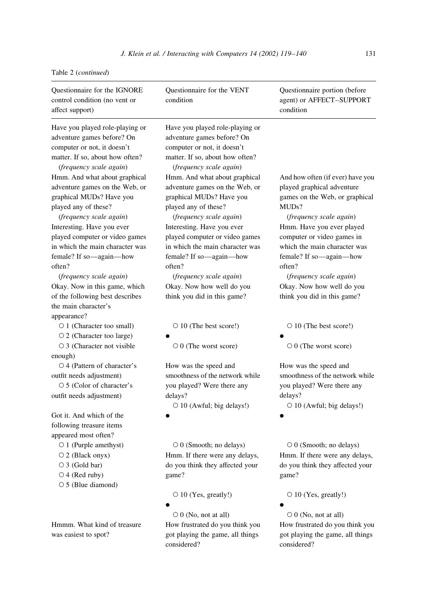# Table 2 (continued)

| Questionnaire for the VENT<br>condition                                                                                                                           | Questionnaire portion (before)<br>agent) or AFFECT-SUPPORT<br>condition                                                                                        |
|-------------------------------------------------------------------------------------------------------------------------------------------------------------------|----------------------------------------------------------------------------------------------------------------------------------------------------------------|
| Have you played role-playing or<br>adventure games before? On<br>computer or not, it doesn't<br>matter. If so, about how often?<br><i>(frequency scale again)</i> |                                                                                                                                                                |
| adventure games on the Web, or<br>graphical MUDs? Have you<br>played any of these?                                                                                | And how often (if ever) have you<br>played graphical adventure<br>games on the Web, or graphical<br>MUDs?                                                      |
| (frequency scale again)<br>Interesting. Have you ever<br>played computer or video games<br>in which the main character was<br>female? If so—again—how<br>often?   | <i>(frequency scale again)</i><br>Hmm. Have you ever played<br>computer or video games in<br>which the main character was<br>female? If so—again—how<br>often? |
| Okay. Now how well do you<br>think you did in this game?                                                                                                          | (frequency scale again)<br>Okay. Now how well do you<br>think you did in this game?                                                                            |
| $\circ$ 0 (The worst score)                                                                                                                                       | $\circ$ 10 (The best score!)<br>$\circ$ 0 (The worst score)                                                                                                    |
| How was the speed and<br>smoothness of the network while<br>you played? Were there any<br>delays?                                                                 | How was the speed and<br>smoothness of the network while<br>you played? Were there any<br>delays?<br>$\circ$ 10 (Awful; big delays!)                           |
|                                                                                                                                                                   |                                                                                                                                                                |
| $\circ$ 0 (Smooth; no delays)<br>Hmm. If there were any delays,<br>do you think they affected your<br>game?                                                       | $\circ$ 0 (Smooth; no delays)<br>Hmm. If there were any delays,<br>do you think they affected your<br>game?                                                    |
| $\circ$ 10 (Yes, greatly!)<br>$\circ$ 0 (No, not at all)<br>How frustrated do you think you<br>got playing the game, all things<br>considered?                    | $\circ$ 10 (Yes, greatly!)<br>$\circ$ 0 (No, not at all)<br>How frustrated do you think you<br>got playing the game, all things<br>considered?                 |
|                                                                                                                                                                   | Hmm. And what about graphical<br><i>(frequency scale again)</i><br>$\circ$ 10 (The best score!)<br>$\circ$ 10 (Awful; big delays!)                             |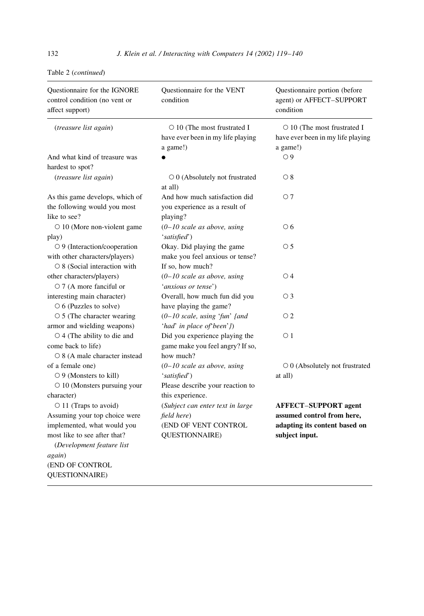| Questionnaire for the IGNORE<br>control condition (no vent or<br>affect support)                           | Questionnaire for the VENT<br>condition                                                                       | Questionnaire portion (before<br>agent) or AFFECT-SUPPORT<br>condition             |
|------------------------------------------------------------------------------------------------------------|---------------------------------------------------------------------------------------------------------------|------------------------------------------------------------------------------------|
| (treasure list again)                                                                                      | $\circ$ 10 (The most frustrated I<br>have ever been in my life playing<br>a game!)                            | $\circ$ 10 (The most frustrated I<br>have ever been in my life playing<br>a game!) |
| And what kind of treasure was<br>hardest to spot?                                                          |                                                                                                               | $\circ$ 9                                                                          |
| <i>(treasure list again)</i>                                                                               | $\circ$ 0 (Absolutely not frustrated<br>at all)                                                               | $\circ$ 8                                                                          |
| As this game develops, which of<br>the following would you most<br>like to see?                            | And how much satisfaction did<br>you experience as a result of<br>playing?                                    | $\circ$ 7                                                                          |
| $\circ$ 10 (More non-violent game<br>play)                                                                 | $(0-10 \text{ scale as above, using})$<br>'satisfied')                                                        | $\circ$ 6                                                                          |
| $\circ$ 9 (Interaction/cooperation<br>with other characters/players)<br>$\circ$ 8 (Social interaction with | Okay. Did playing the game<br>make you feel anxious or tense?<br>If so, how much?                             | $\circ$ 5                                                                          |
| other characters/players)<br>$\circ$ 7 (A more fanciful or                                                 | $(0-10 \text{ scale as above}, using$<br>'anxious or tense')                                                  | $\bigcirc$ 4                                                                       |
| interesting main character)<br>$\circ$ 6 (Puzzles to solve)                                                | Overall, how much fun did you<br>have playing the game?                                                       | $\circ$ 3                                                                          |
| $\circ$ 5 (The character wearing<br>armor and wielding weapons)                                            | $(0-10 \text{ scale}, \text{using 'fun' }$ [and<br>'had' in place of been'  )                                 | $\circ$ 2                                                                          |
| $\circ$ 4 (The ability to die and<br>come back to life)<br>○ 8 (A male character instead                   | Did you experience playing the<br>game make you feel angry? If so,<br>how much?                               | $\circ$ 1                                                                          |
| of a female one)<br>$\circ$ 9 (Monsters to kill)<br>$\circ$ 10 (Monsters pursuing your<br>character)       | $(0-10 \text{ scale as above}, using$<br>'satisfied')<br>Please describe your reaction to<br>this experience. | $\circ$ 0 (Absolutely not frustrated<br>at all)                                    |
| $\circ$ 11 (Traps to avoid)<br>Assuming your top choice were                                               | (Subject can enter text in large<br>field here)                                                               | <b>AFFECT-SUPPORT agent</b><br>assumed control from here,                          |
| implemented, what would you<br>most like to see after that?<br>(Development feature list                   | (END OF VENT CONTROL<br>QUESTIONNAIRE)                                                                        | adapting its content based on<br>subject input.                                    |
| again)<br>(END OF CONTROL                                                                                  |                                                                                                               |                                                                                    |
| <b>QUESTIONNAIRE</b> )                                                                                     |                                                                                                               |                                                                                    |

Table 2 (continued)

#### 132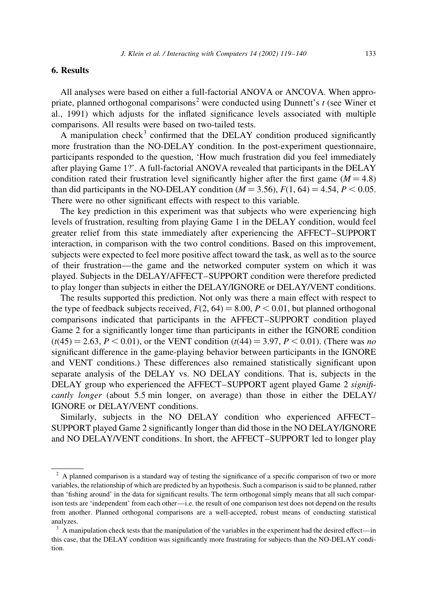# 6. Results

All analyses were based on either a full-factorial ANOVA or ANCOVA. When appropriate, planned orthogonal comparisons<sup>2</sup> were conducted using Dunnett's  $t$  (see Winer et al., 1991) which adjusts for the inflated significance levels associated with multiple comparisons. All results were based on two-tailed tests.

A manipulation check<sup>3</sup> confirmed that the DELAY condition produced significantly more frustration than the NO-DELAY condition. In the post-experiment questionnaire, participants responded to the question, 'How much frustration did you feel immediately after playing Game 1?'. A full-factorial ANOVA revealed that participants in the DELAY condition rated their frustration level significantly higher after the first game  $(M = 4.8)$ than did participants in the NO-DELAY condition ( $M = 3.56$ ),  $F(1, 64) = 4.54$ ,  $P < 0.05$ . There were no other significant effects with respect to this variable.

The key prediction in this experiment was that subjects who were experiencing high levels of frustration, resulting from playing Game 1 in the DELAY condition, would feel greater relief from this state immediately after experiencing the AFFECT-SUPPORT interaction, in comparison with the two control conditions. Based on this improvement, subjects were expected to feel more positive affect toward the task, as well as to the source of their frustration—the game and the networked computer system on which it was played. Subjects in the DELAY/AFFECT-SUPPORT condition were therefore predicted to play longer than subjects in either the DELAY/IGNORE or DELAY/VENT conditions.

The results supported this prediction. Not only was there a main effect with respect to the type of feedback subjects received,  $F(2, 64) = 8.00$ ,  $P < 0.01$ , but planned orthogonal comparisons indicated that participants in the AFFECT-SUPPORT condition played Game 2 for a significantly longer time than participants in either the IGNORE condition  $(t(45) = 2.63, P \le 0.01)$ , or the VENT condition  $(t(44) = 3.97, P \le 0.01)$ . (There was no significant difference in the game-playing behavior between participants in the IGNORE and VENT conditions.) These differences also remained statistically significant upon separate analysis of the DELAY vs. NO DELAY conditions. That is, subjects in the DELAY group who experienced the AFFECT-SUPPORT agent played Game 2 significantly longer (about 5.5 min longer, on average) than those in either the DELAY/ IGNORE or DELAY/VENT conditions.

Similarly, subjects in the NO DELAY condition who experienced AFFECT-SUPPORT played Game 2 significantly longer than did those in the NO DELAY/IGNORE and NO DELAY/VENT conditions. In short, the AFFECT-SUPPORT led to longer play

<sup>&</sup>lt;sup>2</sup> A planned comparison is a standard way of testing the significance of a specific comparison of two or more variables, the relationship of which are predicted by an hypothesis. Such a comparison is said to be planned, rather than 'fishing around' in the data for significant results. The term orthogonal simply means that all such comparison tests are 'independent' from each other—i.e. the result of one comparison test does not depend on the results from another. Planned orthogonal comparisons are a well-accepted, robust means of conducting statistical analyzes.

 $3\,$  A manipulation check tests that the manipulation of the variables in the experiment had the desired effect—in this case, that the DELAY condition was significantly more frustrating for subjects than the NO-DELAY condition.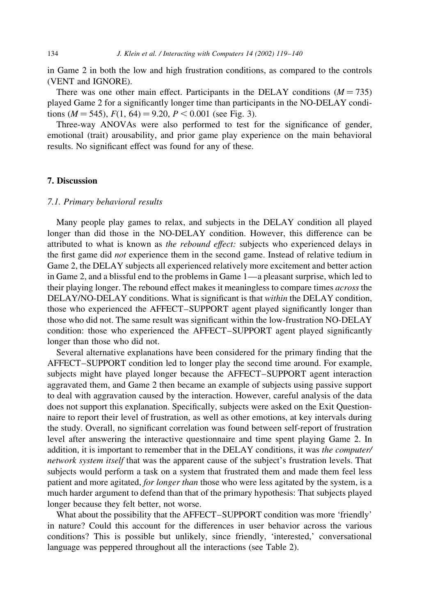in Game 2 in both the low and high frustration conditions, as compared to the controls (VENT and IGNORE).

There was one other main effect. Participants in the DELAY conditions  $(M = 735)$ played Game 2 for a significantly longer time than participants in the NO-DELAY conditions ( $M = 545$ ),  $F(1, 64) = 9.20$ ,  $P < 0.001$  (see Fig. 3).

Three-way ANOVAs were also performed to test for the significance of gender, emotional (trait) arousability, and prior game play experience on the main behavioral results. No significant effect was found for any of these.

## **7. Discussion**

## 7.1. Primary behavioral results

Many people play games to relax, and subjects in the DELAY condition all played longer than did those in the NO-DELAY condition. However, this difference can be attributed to what is known as the rebound effect: subjects who experienced delays in the first game did *not* experience them in the second game. Instead of relative tedium in Game 2, the DELAY subjects all experienced relatively more excitement and better action in Game 2, and a blissful end to the problems in Game 1—a pleasant surprise, which led to their playing longer. The rebound effect makes it meaningless to compare times *across* the DELAY/NO-DELAY conditions. What is significant is that within the DELAY condition, those who experienced the AFFECT-SUPPORT agent played significantly longer than those who did not. The same result was significant within the low-frustration NO-DELAY condition: those who experienced the AFFECT-SUPPORT agent played significantly longer than those who did not.

Several alternative explanations have been considered for the primary finding that the AFFECT-SUPPORT condition led to longer play the second time around. For example, subjects might have played longer because the AFFECT-SUPPORT agent interaction aggravated them, and Game 2 then became an example of subjects using passive support to deal with aggravation caused by the interaction. However, careful analysis of the data does not support this explanation. Specifically, subjects were asked on the Exit Questionnaire to report their level of frustration, as well as other emotions, at key intervals during the study. Overall, no significant correlation was found between self-report of frustration level after answering the interactive questionnaire and time spent playing Game 2. In addition, it is important to remember that in the DELAY conditions, it was the computer/ network system itself that was the apparent cause of the subject's frustration levels. That subjects would perform a task on a system that frustrated them and made them feel less patient and more agitated, for longer than those who were less agitated by the system, is a much harder argument to defend than that of the primary hypothesis: That subjects played longer because they felt better, not worse.

What about the possibility that the AFFECT-SUPPORT condition was more 'friendly' in nature? Could this account for the differences in user behavior across the various conditions? This is possible but unlikely, since friendly, 'interested,' conversational language was peppered throughout all the interactions (see Table 2).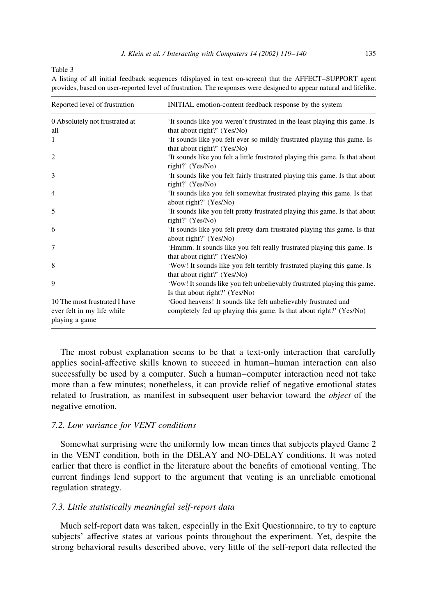Table 3

A listing of all initial feedback sequences (displayed in text on-screen) that the AFFECT-SUPPORT agent provides, based on user-reported level of frustration. The responses were designed to appear natural and lifelike.

| Reported level of frustration                                                 | INITIAL emotion-content feedback response by the system                                                                               |  |
|-------------------------------------------------------------------------------|---------------------------------------------------------------------------------------------------------------------------------------|--|
| 0 Absolutely not frustrated at                                                | It sounds like you weren't frustrated in the least playing this game. Is                                                              |  |
| all                                                                           | that about right?' (Yes/No)                                                                                                           |  |
| 1                                                                             | It sounds like you felt ever so mildly frustrated playing this game. Is<br>that about right?' (Yes/No)                                |  |
| $\overline{c}$                                                                | It sounds like you felt a little frustrated playing this game. Is that about<br>right?' (Yes/No)                                      |  |
| 3                                                                             | 'It sounds like you felt fairly frustrated playing this game. Is that about<br>right?' (Yes/No)                                       |  |
| $\overline{4}$                                                                | It sounds like you felt somewhat frustrated playing this game. Is that<br>about right?' (Yes/No)                                      |  |
| 5                                                                             | It sounds like you felt pretty frustrated playing this game. Is that about<br>right?' (Yes/No)                                        |  |
| 6                                                                             | It sounds like you felt pretty darn frustrated playing this game. Is that<br>about right?' (Yes/No)                                   |  |
| $\overline{7}$                                                                | 'Hmmm. It sounds like you felt really frustrated playing this game. Is<br>that about right?' (Yes/No)                                 |  |
| 8                                                                             | 'Wow! It sounds like you felt terribly frustrated playing this game. Is<br>that about right?' (Yes/No)                                |  |
| $\mathbf Q$                                                                   | 'Wow! It sounds like you felt unbelievably frustrated playing this game.<br>Is that about right?' (Yes/No)                            |  |
| 10 The most frustrated I have<br>ever felt in my life while<br>playing a game | 'Good heavens! It sounds like felt unbelievably frustrated and<br>completely fed up playing this game. Is that about right?' (Yes/No) |  |

The most robust explanation seems to be that a text-only interaction that carefully applies social-affective skills known to succeed in human-human interaction can also successfully be used by a computer. Such a human–computer interaction need not take more than a few minutes; nonetheless, it can provide relief of negative emotional states related to frustration, as manifest in subsequent user behavior toward the *object* of the negative emotion.

#### 7.2. Low variance for VENT conditions

Somewhat surprising were the uniformly low mean times that subjects played Game 2 in the VENT condition, both in the DELAY and NO-DELAY conditions. It was noted earlier that there is conflict in the literature about the benefits of emotional venting. The current findings lend support to the argument that venting is an unreliable emotional regulation strategy.

## 7.3. Little statistically meaningful self-report data

Much self-report data was taken, especially in the Exit Questionnaire, to try to capture subjects' affective states at various points throughout the experiment. Yet, despite the strong behavioral results described above, very little of the self-report data reflected the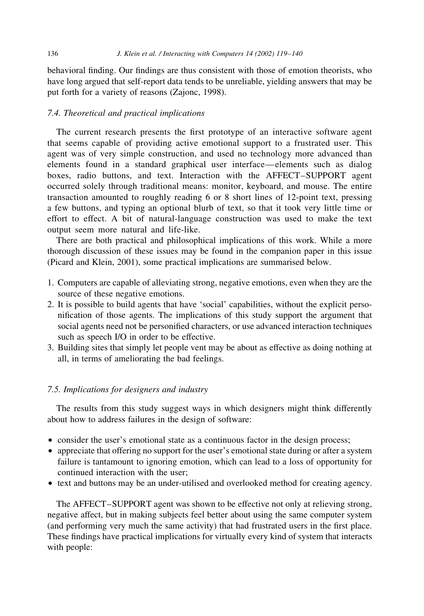behavioral finding. Our findings are thus consistent with those of emotion theorists, who have long argued that self-report data tends to be unreliable, yielding answers that may be put forth for a variety of reasons (Zajonc, 1998).

## 7.4. Theoretical and practical implications

The current research presents the first prototype of an interactive software agent that seems capable of providing active emotional support to a frustrated user. This agent was of very simple construction, and used no technology more advanced than elements found in a standard graphical user interface—elements such as dialog boxes, radio buttons, and text. Interaction with the AFFECT-SUPPORT agent occurred solely through traditional means: monitor, keyboard, and mouse. The entire transaction amounted to roughly reading 6 or 8 short lines of 12-point text, pressing a few buttons, and typing an optional blurb of text, so that it took very little time or effort to effect. A bit of natural-language construction was used to make the text output seem more natural and life-like.

There are both practical and philosophical implications of this work. While a more thorough discussion of these issues may be found in the companion paper in this issue (Picard and Klein, 2001), some practical implications are summarised below.

- 1. Computers are capable of alleviating strong, negative emotions, even when they are the source of these negative emotions.
- 2. It is possible to build agents that have 'social' capabilities, without the explicit personification of those agents. The implications of this study support the argument that social agents need not be personified characters, or use advanced interaction techniques such as speech I/O in order to be effective.
- 3. Building sites that simply let people vent may be about as effective as doing nothing at all, in terms of ameliorating the bad feelings.

### 7.5. Implications for designers and industry

The results from this study suggest ways in which designers might think differently about how to address failures in the design of software:

- consider the user's emotional state as a continuous factor in the design process;
- appreciate that offering no support for the user's emotional state during or after a system failure is tantamount to ignoring emotion, which can lead to a loss of opportunity for continued interaction with the user:
- text and buttons may be an under-utilised and overlooked method for creating agency.

The AFFECT-SUPPORT agent was shown to be effective not only at relieving strong, negative affect, but in making subjects feel better about using the same computer system (and performing very much the same activity) that had frustrated users in the first place. These findings have practical implications for virtually every kind of system that interacts with people: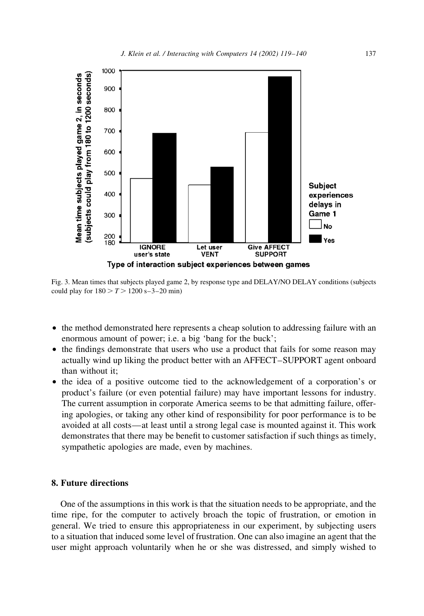

Fig. 3. Mean times that subjects played game 2, by response type and DELAY/NO DELAY conditions (subjects could play for  $180 > T > 1200$  s-3-20 min)

- the method demonstrated here represents a cheap solution to addressing failure with an enormous amount of power; i.e. a big 'bang for the buck';
- the findings demonstrate that users who use a product that fails for some reason may actually wind up liking the product better with an AFFECT-SUPPORT agent onboard than without it:
- the idea of a positive outcome tied to the acknowledgement of a corporation's or product's failure (or even potential failure) may have important lessons for industry. The current assumption in corporate America seems to be that admitting failure, offering apologies, or taking any other kind of responsibility for poor performance is to be avoided at all costs—at least until a strong legal case is mounted against it. This work demonstrates that there may be benefit to customer satisfaction if such things as timely, sympathetic apologies are made, even by machines.

# 8. Future directions

One of the assumptions in this work is that the situation needs to be appropriate, and the time ripe, for the computer to actively broach the topic of frustration, or emotion in general. We tried to ensure this appropriateness in our experiment, by subjecting users to a situation that induced some level of frustration. One can also imagine an agent that the user might approach voluntarily when he or she was distressed, and simply wished to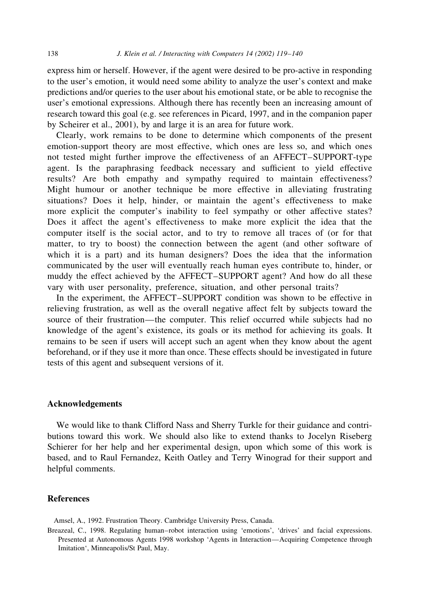express him or herself. However, if the agent were desired to be pro-active in responding to the user's emotion, it would need some ability to analyze the user's context and make predictions and/or queries to the user about his emotional state, or be able to recognise the user's emotional expressions. Although there has recently been an increasing amount of research toward this goal (e.g. see references in Picard, 1997, and in the companion paper by Scheirer et al., 2001), by and large it is an area for future work.

Clearly, work remains to be done to determine which components of the present emotion-support theory are most effective, which ones are less so, and which ones not tested might further improve the effectiveness of an AFFECT-SUPPORT-type agent. Is the paraphrasing feedback necessary and sufficient to yield effective results? Are both empathy and sympathy required to maintain effectiveness? Might humour or another technique be more effective in alleviating frustrating situations? Does it help, hinder, or maintain the agent's effectiveness to make more explicit the computer's inability to feel sympathy or other affective states? Does it affect the agent's effectiveness to make more explicit the idea that the computer itself is the social actor, and to try to remove all traces of (or for that matter, to try to boost) the connection between the agent (and other software of which it is a part) and its human designers? Does the idea that the information communicated by the user will eventually reach human eyes contribute to, hinder, or muddy the effect achieved by the AFFECT-SUPPORT agent? And how do all these vary with user personality, preference, situation, and other personal traits?

In the experiment, the AFFECT-SUPPORT condition was shown to be effective in relieving frustration, as well as the overall negative affect felt by subjects toward the source of their frustration-the computer. This relief occurred while subjects had no knowledge of the agent's existence, its goals or its method for achieving its goals. It remains to be seen if users will accept such an agent when they know about the agent beforehand, or if they use it more than once. These effects should be investigated in future tests of this agent and subsequent versions of it.

#### **Acknowledgements**

We would like to thank Clifford Nass and Sherry Turkle for their guidance and contributions toward this work. We should also like to extend thanks to Jocelyn Riseberg Schierer for her help and her experimental design, upon which some of this work is based, and to Raul Fernandez, Keith Oatley and Terry Winograd for their support and helpful comments.

#### **References**

Amsel, A., 1992. Frustration Theory. Cambridge University Press, Canada.

Breazeal, C., 1998. Regulating human-robot interaction using 'emotions', 'drives' and facial expressions. Presented at Autonomous Agents 1998 workshop 'Agents in Interaction-Acquiring Competence through Imitation', Minneapolis/St Paul, May.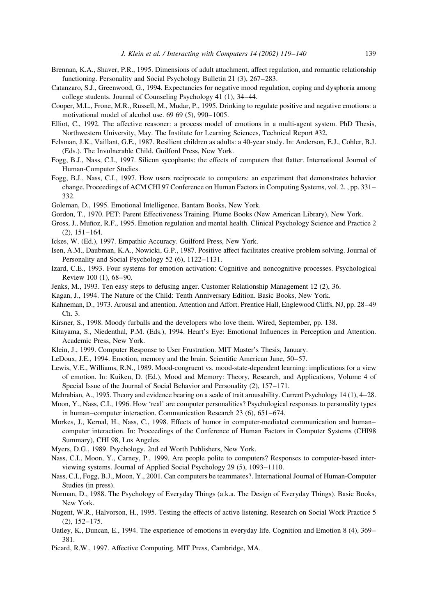- Brennan, K.A., Shaver, P.R., 1995. Dimensions of adult attachment, affect regulation, and romantic relationship functioning. Personality and Social Psychology Bulletin 21 (3), 267-283.
- Catanzaro, S.J., Greenwood, G., 1994. Expectancies for negative mood regulation, coping and dysphoria among college students. Journal of Counseling Psychology 41 (1), 34-44.
- Cooper, M.L., Frone, M.R., Russell, M., Mudar, P., 1995. Drinking to regulate positive and negative emotions: a motivational model of alcohol use. 69 69 (5), 990–1005.
- Elliot, C., 1992. The affective reasoner: a process model of emotions in a multi-agent system. PhD Thesis, Northwestern University, May. The Institute for Learning Sciences, Technical Report #32.
- Felsman, J.K., Vaillant, G.E., 1987. Resilient children as adults: a 40-year study. In: Anderson, E.J., Cohler, B.J. (Eds.). The Invulnerable Child. Guilford Press, New York.
- Fogg, B.J., Nass, C.I., 1997. Silicon sycophants: the effects of computers that flatter. International Journal of Human-Computer Studies.
- Fogg, B.J., Nass, C.I., 1997. How users reciprocate to computers: an experiment that demonstrates behavior change. Proceedings of ACM CHI 97 Conference on Human Factors in Computing Systems, vol. 2., pp. 331- $332$
- Goleman, D., 1995. Emotional Intelligence. Bantam Books, New York.
- Gordon, T., 1970. PET: Parent Effectiveness Training. Plume Books (New American Library), New York.
- Gross, J., Muñoz, R.F., 1995. Emotion regulation and mental health. Clinical Psychology Science and Practice 2  $(2)$ ,  $151 - 164$ .
- Ickes, W. (Ed.), 1997. Empathic Accuracy. Guilford Press, New York.
- Isen, A.M., Daubman, K.A., Nowicki, G.P., 1987. Positive affect facilitates creative problem solving. Journal of Personality and Social Psychology 52 (6), 1122-1131.
- Izard, C.E., 1993. Four systems for emotion activation: Cognitive and noncognitive processes. Psychological Review 100 (1), 68-90.
- Jenks, M., 1993. Ten easy steps to defusing anger. Customer Relationship Management 12 (2), 36.
- Kagan, J., 1994. The Nature of the Child: Tenth Anniversary Edition. Basic Books, New York.
- Kahneman, D., 1973. Arousal and attention. Attention and Affort. Prentice Hall, Englewood Cliffs, NJ, pp. 28–49 Ch. 3.
- Kirsner, S., 1998. Moody furballs and the developers who love them. Wired, September, pp. 138.
- Kitayama, S., Niedenthal, P.M. (Eds.), 1994. Heart's Eye: Emotional Influences in Perception and Attention. Academic Press, New York.
- Klein, J., 1999. Computer Response to User Frustration. MIT Master's Thesis, January.
- LeDoux, J.E., 1994. Emotion, memory and the brain. Scientific American June, 50–57.
- Lewis, V.E., Williams, R.N., 1989. Mood-congruent vs. mood-state-dependent learning: implications for a view of emotion. In: Kuiken, D. (Ed.), Mood and Memory: Theory, Research, and Applications, Volume 4 of Special Issue of the Journal of Social Behavior and Personality (2), 157–171.
- Mehrabian, A., 1995. Theory and evidence bearing on a scale of trait arousability. Current Psychology 14 (1), 4-28.
- Moon, Y., Nass, C.I., 1996. How 'real' are computer personalities? Psychological responses to personality types in human–computer interaction. Communication Research 23 (6), 651–674.
- Morkes, J., Kernal, H., Nass, C., 1998. Effects of humor in computer-mediated communication and humancomputer interaction. In: Proceedings of the Conference of Human Factors in Computer Systems (CHI98 Summary), CHI 98, Los Angeles.
- Myers, D.G., 1989. Psychology. 2nd ed Worth Publishers, New York.
- Nass, C.I., Moon, Y., Carney, P., 1999. Are people polite to computers? Responses to computer-based interviewing systems. Journal of Applied Social Psychology 29 (5), 1093-1110.
- Nass, C.I., Fogg, B.J., Moon, Y., 2001. Can computers be teammates?. International Journal of Human-Computer Studies (in press).
- Norman, D., 1988. The Psychology of Everyday Things (a.k.a. The Design of Everyday Things). Basic Books, New York.
- Nugent, W.R., Halvorson, H., 1995. Testing the effects of active listening. Research on Social Work Practice 5  $(2), 152 - 175.$
- Oatley, K., Duncan, E., 1994. The experience of emotions in everyday life. Cognition and Emotion 8 (4), 369– 381.
- Picard, R.W., 1997. Affective Computing. MIT Press, Cambridge, MA.